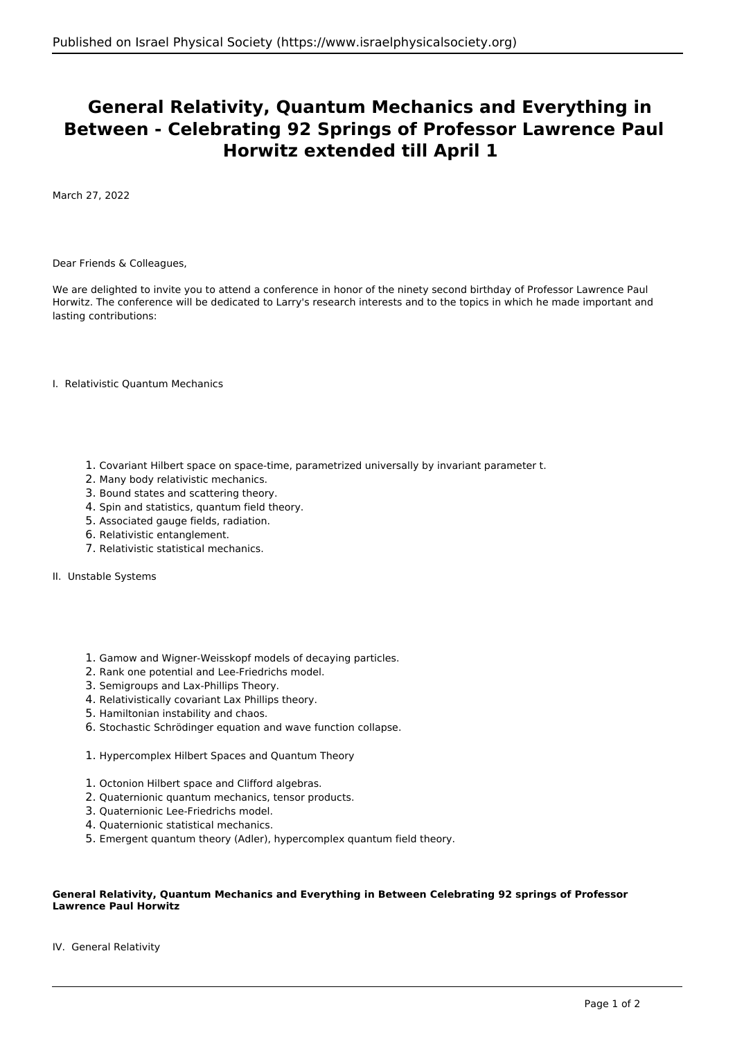## **General Relativity, Quantum Mechanics and Everything in Between - Celebrating 92 Springs of Professor Lawrence Paul Horwitz extended till April 1**

March 27, 2022

Dear Friends & Colleagues,

We are delighted to invite you to attend a conference in honor of the ninety second birthday of Professor Lawrence Paul Horwitz. The conference will be dedicated to Larry's research interests and to the topics in which he made important and lasting contributions:

I. Relativistic Quantum Mechanics

- 1. Covariant Hilbert space on space-time, parametrized universally by invariant parameter t.
- 2. Many body relativistic mechanics.
- 3. Bound states and scattering theory.
- 4. Spin and statistics, quantum field theory.
- 5. Associated gauge fields, radiation.
- 6. Relativistic entanglement.
- 7. Relativistic statistical mechanics.
- II. Unstable Systems
	- 1. Gamow and Wigner-Weisskopf models of decaying particles.
	- 2. Rank one potential and Lee-Friedrichs model.
	- 3. Semigroups and Lax-Phillips Theory.
	- 4. Relativistically covariant Lax Phillips theory.
	- 5. Hamiltonian instability and chaos.
	- 6. Stochastic Schrödinger equation and wave function collapse.
	- 1. Hypercomplex Hilbert Spaces and Quantum Theory
	- 1. Octonion Hilbert space and Clifford algebras.
	- 2. Quaternionic quantum mechanics, tensor products.
	- 3. Quaternionic Lee-Friedrichs model.
	- 4. Quaternionic statistical mechanics.
	- 5. Emergent quantum theory (Adler), hypercomplex quantum field theory.

## **General Relativity, Quantum Mechanics and Everything in Between Celebrating 92 springs of Professor Lawrence Paul Horwitz**

IV. General Relativity